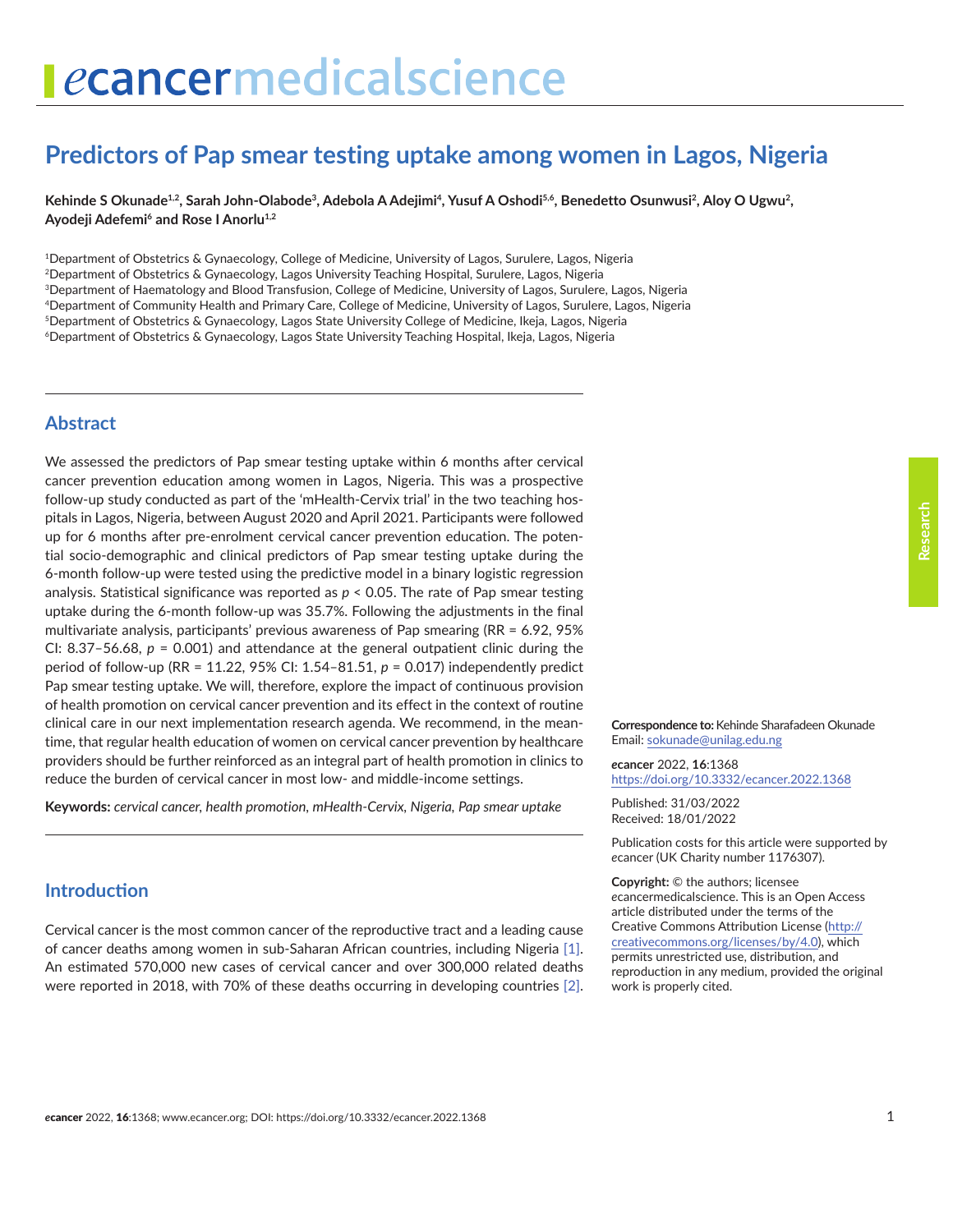# ecancermedicalscience

# **Predictors of Pap smear testing uptake among women in Lagos, Nigeria**

Kehinde S Okunade<sup>1,2</sup>, Sarah John-Olabode<sup>3</sup>, Adebola A Adejimi<sup>4</sup>, Yusuf A Oshodi<sup>5,6</sup>, Benedetto Osunwusi<sup>2</sup>, Aloy O Ugwu<sup>2</sup>, Ayodeji Adefemi<sup>6</sup> and Rose I Anorlu<sup>1,2</sup>

1Department of Obstetrics & Gynaecology, College of Medicine, University of Lagos, Surulere, Lagos, Nigeria 2Department of Obstetrics & Gynaecology, Lagos University Teaching Hospital, Surulere, Lagos, Nigeria 3Department of Haematology and Blood Transfusion, College of Medicine, University of Lagos, Surulere, Lagos, Nigeria 4Department of Community Health and Primary Care, College of Medicine, University of Lagos, Surulere, Lagos, Nigeria 5Department of Obstetrics & Gynaecology, Lagos State University College of Medicine, Ikeja, Lagos, Nigeria 6Department of Obstetrics & Gynaecology, Lagos State University Teaching Hospital, Ikeja, Lagos, Nigeria

# **Abstract**

We assessed the predictors of Pap smear testing uptake within 6 months after cervical cancer prevention education among women in Lagos, Nigeria. This was a prospective follow-up study conducted as part of the 'mHealth-Cervix trial' in the two teaching hospitals in Lagos, Nigeria, between August 2020 and April 2021. Participants were followed up for 6 months after pre-enrolment cervical cancer prevention education. The potential socio-demographic and clinical predictors of Pap smear testing uptake during the 6-month follow-up were tested using the predictive model in a binary logistic regression analysis. Statistical significance was reported as *p* < 0.05. The rate of Pap smear testing uptake during the 6-month follow-up was 35.7%. Following the adjustments in the final multivariate analysis, participants' previous awareness of Pap smearing (RR = 6.92, 95% CI:  $8.37 - 56.68$ ,  $p = 0.001$ ) and attendance at the general outpatient clinic during the period of follow-up (RR = 11.22, 95% CI: 1.54–81.51, *p* = 0.017) independently predict Pap smear testing uptake. We will, therefore, explore the impact of continuous provision of health promotion on cervical cancer prevention and its effect in the context of routine clinical care in our next implementation research agenda. We recommend, in the meantime, that regular health education of women on cervical cancer prevention by healthcare providers should be further reinforced as an integral part of health promotion in clinics to reduce the burden of cervical cancer in most low- and middle-income settings.

**Keywords:** *cervical cancer, health promotion, mHealth-Cervix, Nigeria, Pap smear uptake*

# **Introduction**

Cervical cancer is the most common cancer of the reproductive tract and a leading cause of cancer deaths among women in sub-Saharan African countries, including Nigeria [\[1\].](#page-6-0) An estimated 570,000 new cases of cervical cancer and over 300,000 related deaths were reported in 2018, with 70% of these deaths occurring in developing countries [\[2\].](#page-6-0)

**Correspondence to:**Kehinde Sharafadeen Okunade Email: [sokunade@unilag.edu.ng](mailto:sokunade@unilag.edu.ng)

*e***cancer** 2022, **16**:1368 [https://doi.org/10.3332/ecancer.2022.136](https://doi.org/10.3332/ecancer.2022.1368)8

Published: 31/03/2022 Received: 18/01/2022

Publication costs for this article were supported by *e*cancer (UK Charity number 1176307).

**Copyright:** © the authors; licensee *e*cancermedicalscience. This is an Open Access article distributed under the terms of the Creative Commons Attribution License (http:// creativecommons.org/licenses/by/4.0), which permits unrestricted use, distribution, and reproduction in any medium, provided the original work is properly cited.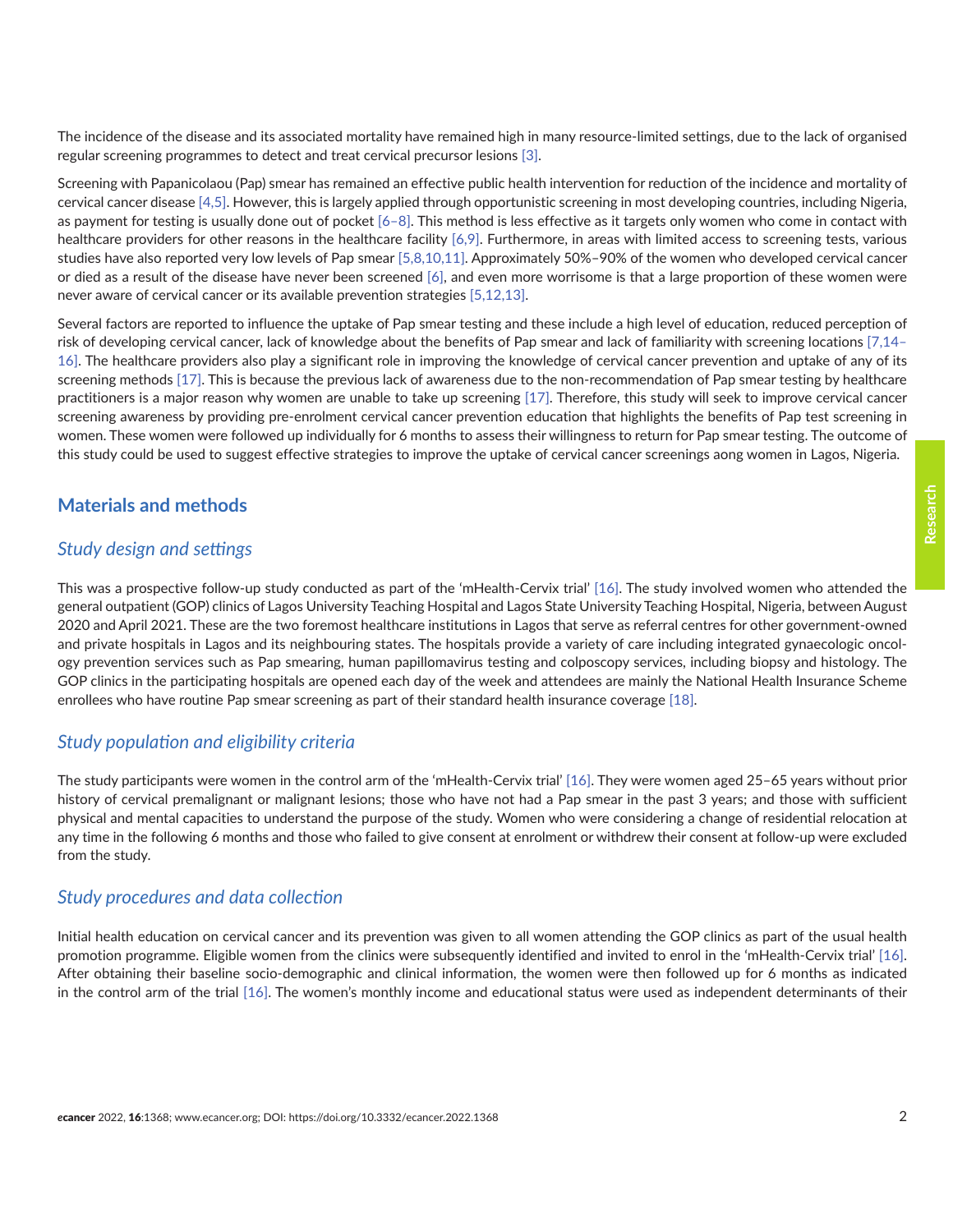The incidence of the disease and its associated mortality have remained high in many resource-limited settings, due to the lack of organised regular screening programmes to detect and treat cervical precursor lesions [\[3\].](#page-6-0)

Screening with Papanicolaou (Pap) smear has remained an effective public health intervention for reduction of the incidence and mortality of cervical cancer disease [\[4,](#page-6-0)[5\].](#page-7-0) However, this is largely applied through opportunistic screening in most developing countries, including Nigeria, as payment for testing is usually done out of pocket  $[6-8]$ . This method is less effective as it targets only women who come in contact with healthcare providers for other reasons in the healthcare facility [\[6,9\]](#page-7-0). Furthermore, in areas with limited access to screening tests, various studies have also reported very low levels of Pap smear [\[5,8,10,11\].](#page-7-0) Approximately 50%–90% of the women who developed cervical cancer or died as a result of the disease have never been screened [\[6\]](#page-7-0), and even more worrisome is that a large proportion of these women were never aware of cervical cancer or its available prevention strategies [\[5,12,13\].](#page-7-0)

Several factors are reported to influence the uptake of Pap smear testing and these include a high level of education, reduced perception of risk of developing cervical cancer, lack of knowledge about the benefits of Pap smear and lack of familiarity with screening locations [\[7,14–](#page-7-0) [16\]](#page-7-0). The healthcare providers also play a significant role in improving the knowledge of cervical cancer prevention and uptake of any of its screening methods [\[17\].](#page-7-0) This is because the previous lack of awareness due to the non-recommendation of Pap smear testing by healthcare practitioners is a major reason why women are unable to take up screening [\[17\]](#page-7-0). Therefore, this study will seek to improve cervical cancer screening awareness by providing pre-enrolment cervical cancer prevention education that highlights the benefits of Pap test screening in women. These women were followed up individually for 6 months to assess their willingness to return for Pap smear testing. The outcome of this study could be used to suggest effective strategies to improve the uptake of cervical cancer screenings aong women in Lagos, Nigeria.

# **Materials and methods**

#### *Study design and settings*

This was a prospective follow-up study conducted as part of the 'mHealth-Cervix trial' [\[16\].](#page-7-0) The study involved women who attended the general outpatient (GOP) clinics of Lagos University Teaching Hospital and Lagos State University Teaching Hospital, Nigeria, between August 2020 and April 2021. These are the two foremost healthcare institutions in Lagos that serve as referral centres for other government-owned and private hospitals in Lagos and its neighbouring states. The hospitals provide a variety of care including integrated gynaecologic oncology prevention services such as Pap smearing, human papillomavirus testing and colposcopy services, including biopsy and histology. The GOP clinics in the participating hospitals are opened each day of the week and attendees are mainly the National Health Insurance Scheme enrollees who have routine Pap smear screening as part of their standard health insurance coverage [\[18\]](#page-7-0).

#### *Study population and eligibility criteria*

The study participants were women in the control arm of the 'mHealth-Cervix trial' [\[16\].](#page-7-0) They were women aged 25–65 years without prior history of cervical premalignant or malignant lesions; those who have not had a Pap smear in the past 3 years; and those with sufficient physical and mental capacities to understand the purpose of the study. Women who were considering a change of residential relocation at any time in the following 6 months and those who failed to give consent at enrolment or withdrew their consent at follow-up were excluded from the study.

#### *Study procedures and data collection*

Initial health education on cervical cancer and its prevention was given to all women attending the GOP clinics as part of the usual health promotion programme. Eligible women from the clinics were subsequently identified and invited to enrol in the 'mHealth-Cervix trial' [\[16\].](#page-7-0) After obtaining their baseline socio-demographic and clinical information, the women were then followed up for 6 months as indicated in the control arm of the trial [\[16\]](#page-7-0). The women's monthly income and educational status were used as independent determinants of their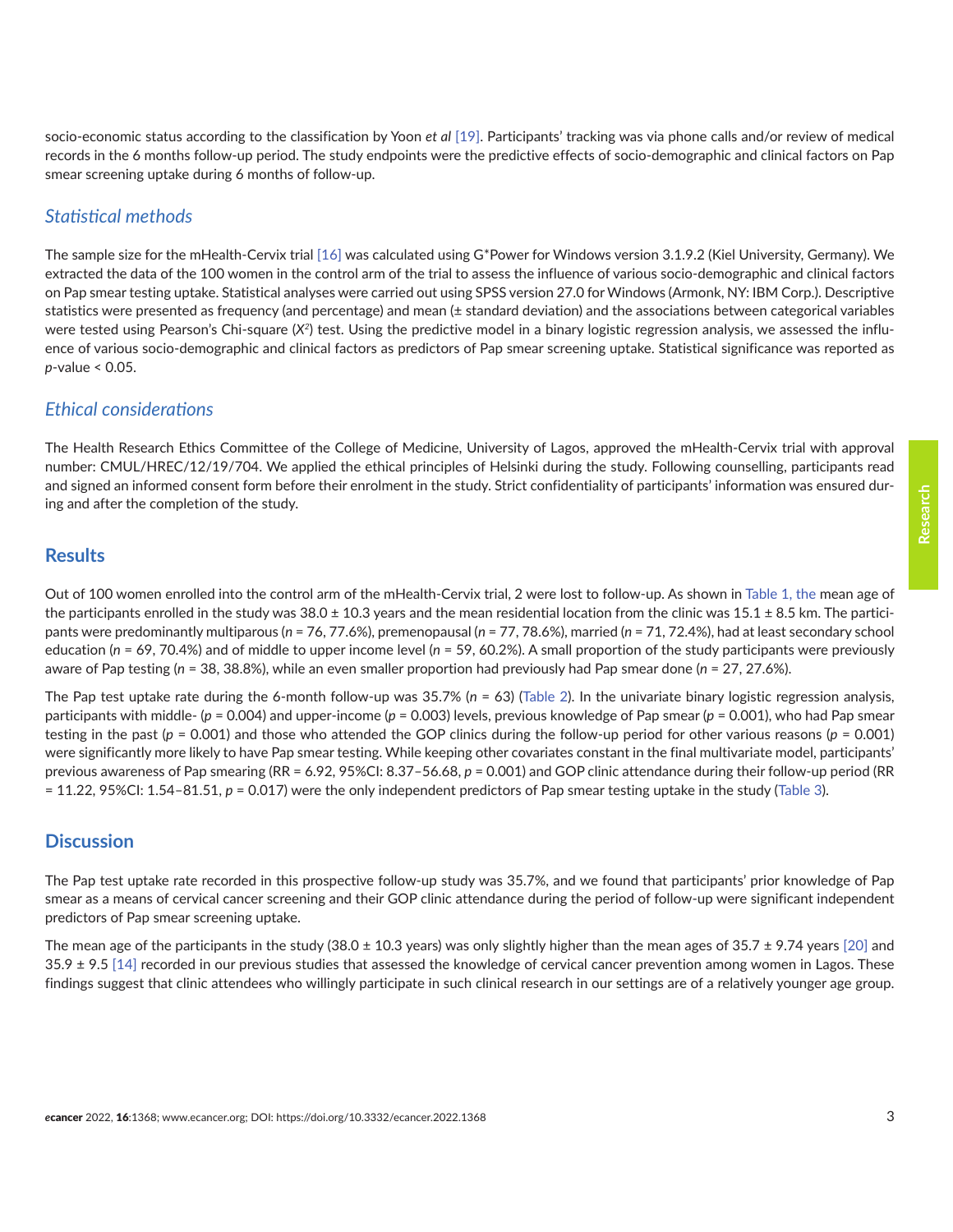socio-economic status according to the classification by Yoon *et al* [\[19\].](#page-7-0) Participants' tracking was via phone calls and/or review of medical records in the 6 months follow-up period. The study endpoints were the predictive effects of socio-demographic and clinical factors on Pap smear screening uptake during 6 months of follow-up.

#### *Statistical methods*

The sample size for the mHealth-Cervix trial [\[16\]](#page-7-0) was calculated using G\*Power for Windows version 3.1.9.2 (Kiel University, Germany). We extracted the data of the 100 women in the control arm of the trial to assess the influence of various socio-demographic and clinical factors on Pap smear testing uptake. Statistical analyses were carried out using SPSS version 27.0 for Windows (Armonk, NY: IBM Corp.). Descriptive statistics were presented as frequency (and percentage) and mean (± standard deviation) and the associations between categorical variables were tested using Pearson's Chi-square (X<sup>2</sup>) test. Using the predictive model in a binary logistic regression analysis, we assessed the influence of various socio-demographic and clinical factors as predictors of Pap smear screening uptake. Statistical significance was reported as *p*-value < 0.05.

#### *Ethical considerations*

The Health Research Ethics Committee of the College of Medicine, University of Lagos, approved the mHealth-Cervix trial with approval number: CMUL/HREC/12/19/704. We applied the ethical principles of Helsinki during the study. Following counselling, participants read and signed an informed consent form before their enrolment in the study. Strict confidentiality of participants' information was ensured during and after the completion of the study.

#### **Results**

Out of 100 women enrolled into the control arm of the mHealth-Cervix trial, 2 were lost to follow-up. As shown in [Table 1](#page-3-0), the mean age of the participants enrolled in the study was  $38.0 \pm 10.3$  years and the mean residential location from the clinic was  $15.1 \pm 8.5$  km. The participants were predominantly multiparous (*n* = 76, 77.6%), premenopausal (*n* = 77, 78.6%), married (*n* = 71, 72.4%), had at least secondary school education (*n* = 69, 70.4%) and of middle to upper income level (*n* = 59, 60.2%). A small proportion of the study participants were previously aware of Pap testing (*n* = 38, 38.8%), while an even smaller proportion had previously had Pap smear done (*n* = 27, 27.6%).

The Pap test uptake rate during the 6-month follow-up was 35.7% (*n* = 63) [\(Table 2\)](#page-4-0). In the univariate binary logistic regression analysis, participants with middle- (*p* = 0.004) and upper-income (*p* = 0.003) levels, previous knowledge of Pap smear (*p* = 0.001), who had Pap smear testing in the past (*p* = 0.001) and those who attended the GOP clinics during the follow-up period for other various reasons (*p* = 0.001) were significantly more likely to have Pap smear testing. While keeping other covariates constant in the final multivariate model, participants' previous awareness of Pap smearing (RR = 6.92, 95%CI: 8.37–56.68, *p* = 0.001) and GOP clinic attendance during their follow-up period (RR = 11.22, 95%CI: 1.54–81.51, *p* = 0.017) were the only independent predictors of Pap smear testing uptake in the study [\(Table 3](#page-5-0)).

# **Discussion**

The Pap test uptake rate recorded in this prospective follow-up study was 35.7%, and we found that participants' prior knowledge of Pap smear as a means of cervical cancer screening and their GOP clinic attendance during the period of follow-up were significant independent predictors of Pap smear screening uptake.

The mean age of the participants in the study (38.0  $\pm$  10.3 years) was only slightly higher than the mean ages of 35.7  $\pm$  9.74 years [\[20\]](#page-7-0) and  $35.9 \pm 9.5$  [\[14\]](#page-7-0) recorded in our previous studies that assessed the knowledge of cervical cancer prevention among women in Lagos. These findings suggest that clinic attendees who willingly participate in such clinical research in our settings are of a relatively younger age group.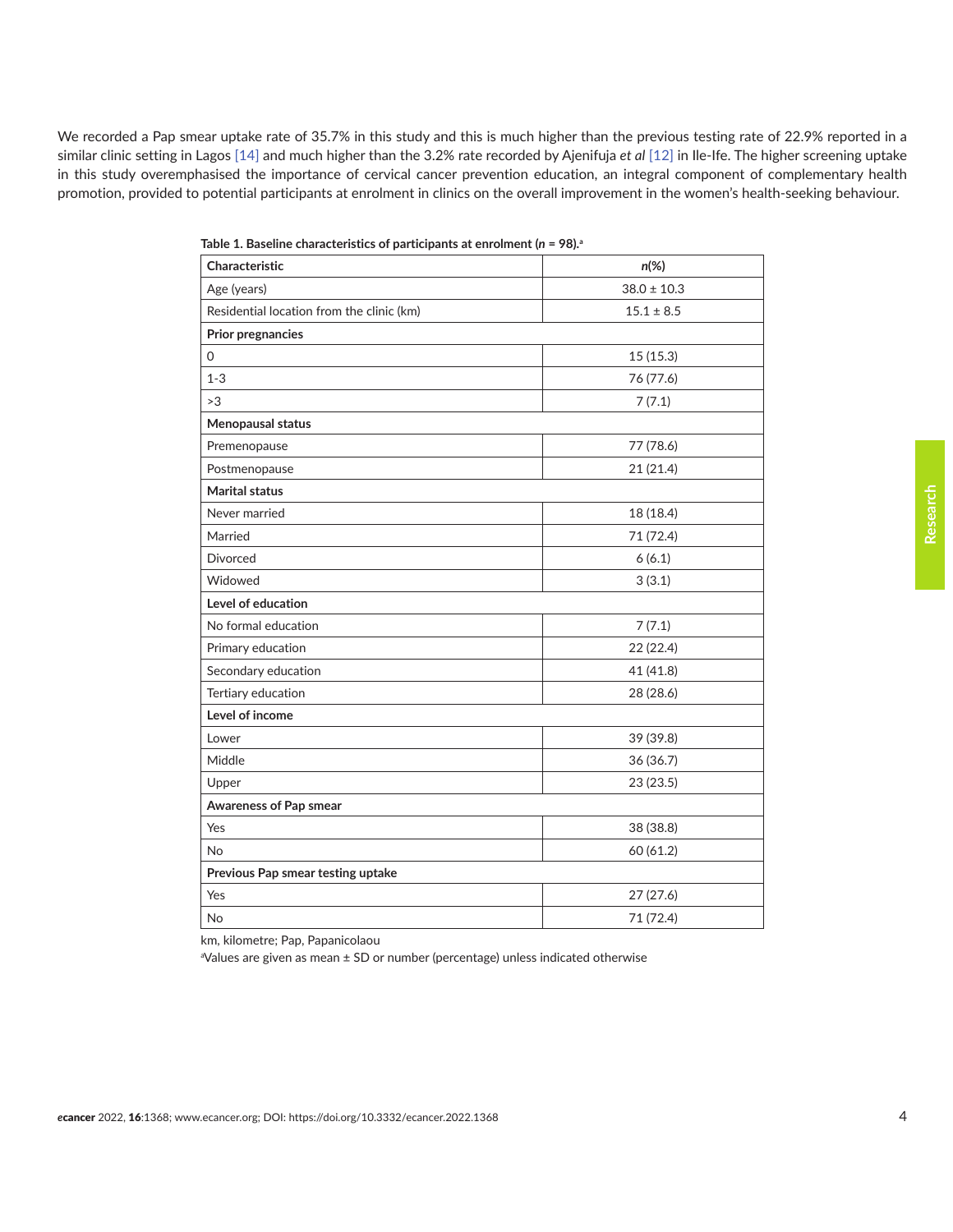<span id="page-3-0"></span>We recorded a Pap smear uptake rate of 35.7% in this study and this is much higher than the previous testing rate of 22.9% reported in a similar clinic setting in Lagos [\[14\]](#page-7-0) and much higher than the 3.2% rate recorded by Ajenifuja *et al* [\[12\]](#page-7-0) in Ile-Ife. The higher screening uptake in this study overemphasised the importance of cervical cancer prevention education, an integral component of complementary health promotion, provided to potential participants at enrolment in clinics on the overall improvement in the women's health-seeking behaviour.

| Characteristic                            | $n(\%)$         |  |  |  |
|-------------------------------------------|-----------------|--|--|--|
| Age (years)                               | $38.0 \pm 10.3$ |  |  |  |
| Residential location from the clinic (km) | $15.1 \pm 8.5$  |  |  |  |
| Prior pregnancies                         |                 |  |  |  |
| 0                                         | 15(15.3)        |  |  |  |
| $1 - 3$                                   | 76 (77.6)       |  |  |  |
| >3                                        | 7(7.1)          |  |  |  |
| Menopausal status                         |                 |  |  |  |
| Premenopause                              | 77 (78.6)       |  |  |  |
| Postmenopause                             | 21(21.4)        |  |  |  |
| <b>Marital status</b>                     |                 |  |  |  |
| Never married                             | 18 (18.4)       |  |  |  |
| Married                                   | 71 (72.4)       |  |  |  |
| <b>Divorced</b>                           | 6(6.1)          |  |  |  |
| Widowed                                   | 3(3.1)          |  |  |  |
| Level of education                        |                 |  |  |  |
| No formal education                       | 7(7.1)          |  |  |  |
| Primary education                         | 22 (22.4)       |  |  |  |
| Secondary education                       | 41 (41.8)       |  |  |  |
| Tertiary education                        | 28 (28.6)       |  |  |  |
| Level of income                           |                 |  |  |  |
| Lower                                     | 39 (39.8)       |  |  |  |
| Middle                                    | 36 (36.7)       |  |  |  |
| Upper                                     | 23 (23.5)       |  |  |  |
| Awareness of Pap smear                    |                 |  |  |  |
| Yes                                       | 38 (38.8)       |  |  |  |
| No                                        | 60 (61.2)       |  |  |  |
| Previous Pap smear testing uptake         |                 |  |  |  |
| Yes                                       | 27 (27.6)       |  |  |  |
| <b>No</b>                                 | 71 (72.4)       |  |  |  |

| Table 1. Baseline characteristics of participants at enrolment ( $n = 98$ ). <sup>a</sup> |  |
|-------------------------------------------------------------------------------------------|--|
|-------------------------------------------------------------------------------------------|--|

km, kilometre; Pap, Papanicolaou

a Values are given as mean ± SD or number (percentage) unless indicated otherwise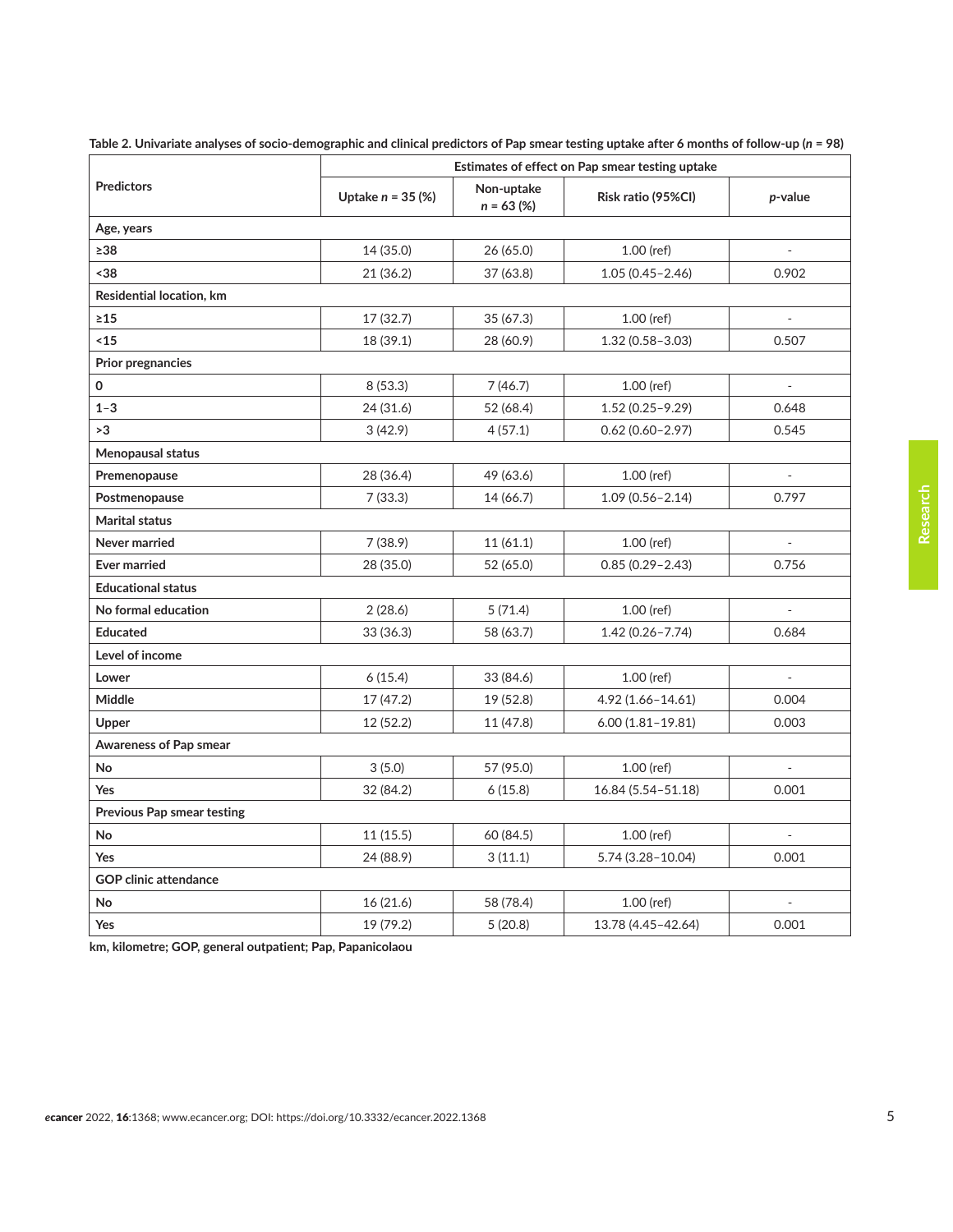|                                   | Estimates of effect on Pap smear testing uptake |                            |                      |                          |  |  |  |
|-----------------------------------|-------------------------------------------------|----------------------------|----------------------|--------------------------|--|--|--|
| <b>Predictors</b>                 | Uptake $n = 35$ (%)                             | Non-uptake<br>$n = 63 (%)$ | Risk ratio (95%CI)   | p-value                  |  |  |  |
| Age, years                        |                                                 |                            |                      |                          |  |  |  |
| $\geq 38$                         | 14 (35.0)                                       | 26 (65.0)                  | $1.00$ (ref)         |                          |  |  |  |
| $38$                              | 21 (36.2)                                       | 37 (63.8)                  | $1.05(0.45 - 2.46)$  | 0.902                    |  |  |  |
| Residential location, km          |                                                 |                            |                      |                          |  |  |  |
| $\geq 15$                         | 17 (32.7)                                       | 35(67.3)                   | $1.00$ (ref)         |                          |  |  |  |
| <15                               | 18 (39.1)                                       | 28 (60.9)                  | $1.32(0.58 - 3.03)$  | 0.507                    |  |  |  |
| <b>Prior pregnancies</b>          |                                                 |                            |                      |                          |  |  |  |
| 0                                 | 8(53.3)                                         | 7(46.7)                    | $1.00$ (ref)         |                          |  |  |  |
| $1 - 3$                           | 24 (31.6)                                       | 52 (68.4)                  | $1.52(0.25 - 9.29)$  | 0.648                    |  |  |  |
| >3                                | 3(42.9)                                         | 4(57.1)                    | $0.62(0.60 - 2.97)$  | 0.545                    |  |  |  |
| Menopausal status                 |                                                 |                            |                      |                          |  |  |  |
| Premenopause                      | 28 (36.4)                                       | 49 (63.6)                  | $1.00$ (ref)         |                          |  |  |  |
| Postmenopause                     | 7(33.3)                                         | 14 (66.7)                  | $1.09(0.56 - 2.14)$  | 0.797                    |  |  |  |
| <b>Marital status</b>             |                                                 |                            |                      |                          |  |  |  |
| Never married                     | 7(38.9)                                         | 11(61.1)                   | $1.00$ (ref)         |                          |  |  |  |
| <b>Ever married</b>               | 28 (35.0)                                       | 52 (65.0)                  | $0.85(0.29 - 2.43)$  | 0.756                    |  |  |  |
| <b>Educational status</b>         |                                                 |                            |                      |                          |  |  |  |
| No formal education               | 2(28.6)                                         | 5(71.4)                    | $1.00$ (ref)         |                          |  |  |  |
| <b>Educated</b>                   | 33 (36.3)                                       | 58 (63.7)                  | $1.42(0.26 - 7.74)$  | 0.684                    |  |  |  |
| Level of income                   |                                                 |                            |                      |                          |  |  |  |
| Lower                             | 6(15.4)                                         | 33 (84.6)                  | $1.00$ (ref)         |                          |  |  |  |
| Middle                            | 17 (47.2)                                       | 19 (52.8)                  | 4.92 (1.66-14.61)    | 0.004                    |  |  |  |
| Upper                             | 12(52.2)                                        | 11 (47.8)                  | $6.00(1.81 - 19.81)$ | 0.003                    |  |  |  |
| Awareness of Pap smear            |                                                 |                            |                      |                          |  |  |  |
| No                                | 3(5.0)                                          | 57 (95.0)                  | $1.00$ (ref)         | $\overline{\phantom{a}}$ |  |  |  |
| Yes                               | 32 (84.2)                                       | 6(15.8)                    | 16.84 (5.54-51.18)   | 0.001                    |  |  |  |
| <b>Previous Pap smear testing</b> |                                                 |                            |                      |                          |  |  |  |
| No                                | 11(15.5)                                        | 60 (84.5)                  | $1.00$ (ref)         |                          |  |  |  |
| Yes                               | 24 (88.9)                                       | 3(11.1)                    | 5.74 (3.28-10.04)    | 0.001                    |  |  |  |
| <b>GOP clinic attendance</b>      |                                                 |                            |                      |                          |  |  |  |
| No                                | 16(21.6)                                        | 58 (78.4)                  | 1.00 (ref)           |                          |  |  |  |
| Yes                               | 19 (79.2)                                       | 5(20.8)                    | 13.78 (4.45-42.64)   | 0.001                    |  |  |  |

<span id="page-4-0"></span>Table 2. Univariate analyses of socio-demographic and clinical predictors of Pap smear testing uptake after 6 months of follow-up (*n* = 98)

**km, kilometre; GOP, general outpatient; Pap, Papanicolaou**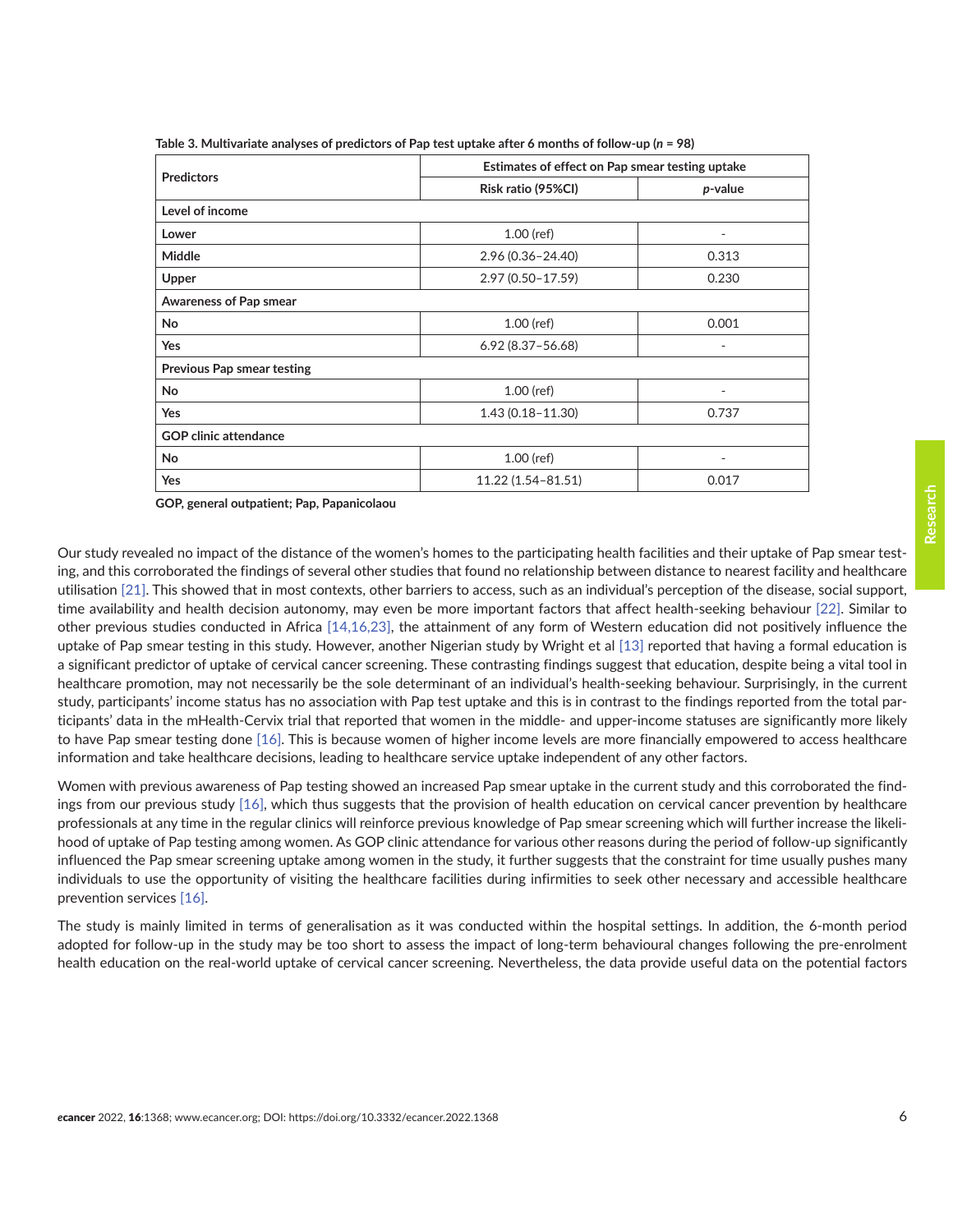|                                   | Estimates of effect on Pap smear testing uptake |                          |  |  |  |
|-----------------------------------|-------------------------------------------------|--------------------------|--|--|--|
| <b>Predictors</b>                 | Risk ratio (95%CI)                              | p-value                  |  |  |  |
| Level of income                   |                                                 |                          |  |  |  |
| Lower                             | $1.00$ (ref)                                    | $\overline{\phantom{a}}$ |  |  |  |
| <b>Middle</b>                     | 2.96 (0.36-24.40)                               | 0.313                    |  |  |  |
| Upper                             | 2.97 (0.50-17.59)                               | 0.230                    |  |  |  |
| <b>Awareness of Pap smear</b>     |                                                 |                          |  |  |  |
| No                                | $1.00$ (ref)                                    | 0.001                    |  |  |  |
| Yes                               | $6.92(8.37 - 56.68)$                            | $\overline{\phantom{0}}$ |  |  |  |
| <b>Previous Pap smear testing</b> |                                                 |                          |  |  |  |
| No                                | $1.00$ (ref)                                    | ٠                        |  |  |  |
| Yes                               | $1.43(0.18 - 11.30)$                            | 0.737                    |  |  |  |
| <b>GOP clinic attendance</b>      |                                                 |                          |  |  |  |
| No                                | $1.00$ (ref)                                    |                          |  |  |  |
| Yes                               | 11.22 (1.54-81.51)                              | 0.017                    |  |  |  |

<span id="page-5-0"></span>**Table 3. Multivariate analyses of predictors of Pap test uptake after 6 months of follow-up (***n* **= 98)**

**GOP, general outpatient; Pap, Papanicolaou**

Our study revealed no impact of the distance of the women's homes to the participating health facilities and their uptake of Pap smear testing, and this corroborated the findings of several other studies that found no relationship between distance to nearest facility and healthcare utilisation [\[21\].](#page-7-0) This showed that in most contexts, other barriers to access, such as an individual's perception of the disease, social support, time availability and health decision autonomy, may even be more important factors that affect health-seeking behaviour [\[22\]](#page-8-0). Similar to other previous studies conducted in Africa [\[14,16,](#page-7-0)[23\]](#page-8-0), the attainment of any form of Western education did not positively influence the uptake of Pap smear testing in this study. However, another Nigerian study by Wright et al [\[13\]](#page-7-0) reported that having a formal education is a significant predictor of uptake of cervical cancer screening. These contrasting findings suggest that education, despite being a vital tool in healthcare promotion, may not necessarily be the sole determinant of an individual's health-seeking behaviour. Surprisingly, in the current study, participants' income status has no association with Pap test uptake and this is in contrast to the findings reported from the total participants' data in the mHealth-Cervix trial that reported that women in the middle- and upper-income statuses are significantly more likely to have Pap smear testing done [\[16\].](#page-7-0) This is because women of higher income levels are more financially empowered to access healthcare information and take healthcare decisions, leading to healthcare service uptake independent of any other factors.

Women with previous awareness of Pap testing showed an increased Pap smear uptake in the current study and this corroborated the findings from our previous study [\[16\],](#page-7-0) which thus suggests that the provision of health education on cervical cancer prevention by healthcare professionals at any time in the regular clinics will reinforce previous knowledge of Pap smear screening which will further increase the likelihood of uptake of Pap testing among women. As GOP clinic attendance for various other reasons during the period of follow-up significantly influenced the Pap smear screening uptake among women in the study, it further suggests that the constraint for time usually pushes many individuals to use the opportunity of visiting the healthcare facilities during infirmities to seek other necessary and accessible healthcare prevention services [\[16\].](#page-7-0)

The study is mainly limited in terms of generalisation as it was conducted within the hospital settings. In addition, the 6-month period adopted for follow-up in the study may be too short to assess the impact of long-term behavioural changes following the pre-enrolment health education on the real-world uptake of cervical cancer screening. Nevertheless, the data provide useful data on the potential factors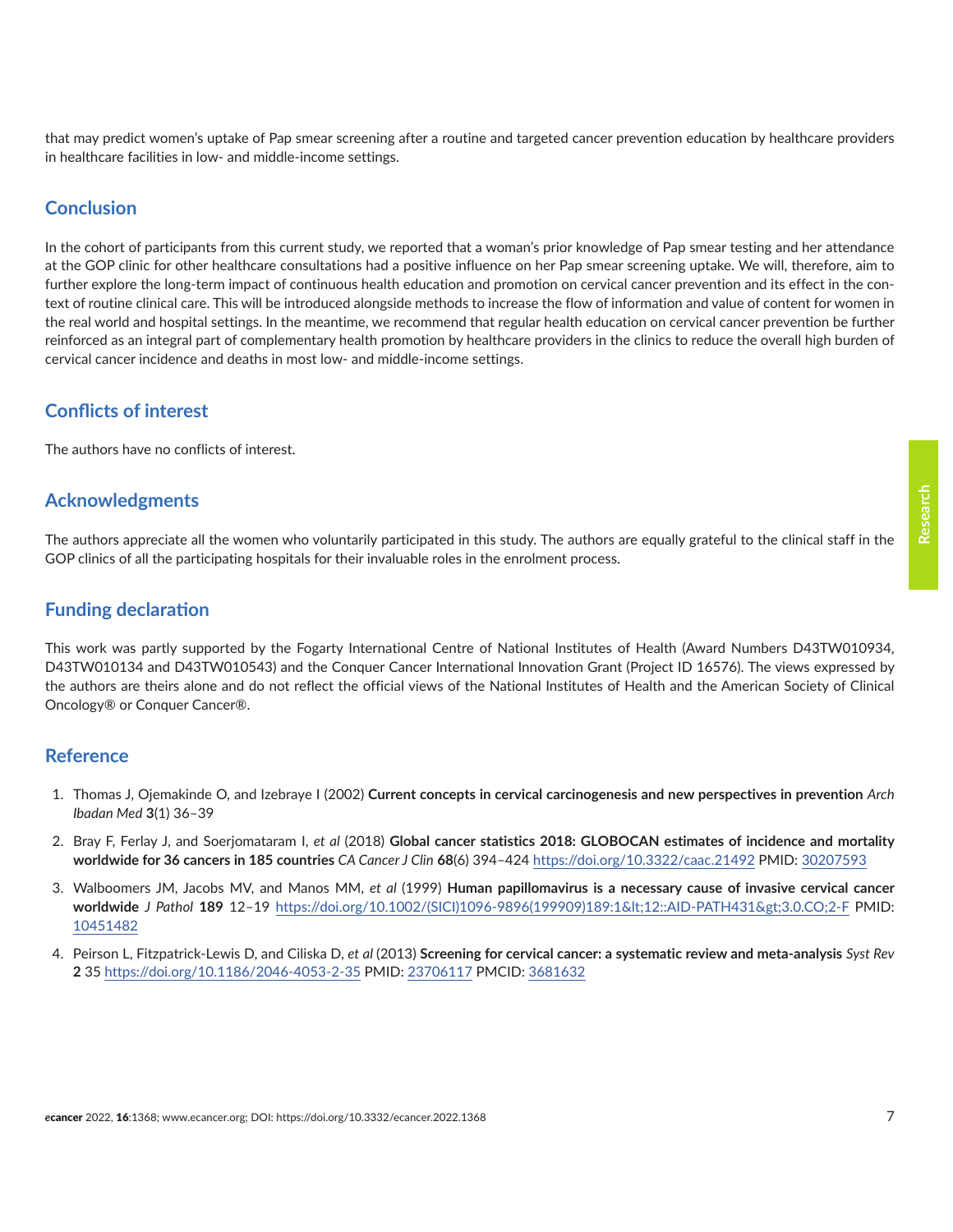<span id="page-6-0"></span>that may predict women's uptake of Pap smear screening after a routine and targeted cancer prevention education by healthcare providers in healthcare facilities in low- and middle-income settings.

## **Conclusion**

In the cohort of participants from this current study, we reported that a woman's prior knowledge of Pap smear testing and her attendance at the GOP clinic for other healthcare consultations had a positive influence on her Pap smear screening uptake. We will, therefore, aim to further explore the long-term impact of continuous health education and promotion on cervical cancer prevention and its effect in the context of routine clinical care. This will be introduced alongside methods to increase the flow of information and value of content for women in the real world and hospital settings. In the meantime, we recommend that regular health education on cervical cancer prevention be further reinforced as an integral part of complementary health promotion by healthcare providers in the clinics to reduce the overall high burden of cervical cancer incidence and deaths in most low- and middle-income settings.

# **Conflicts of interest**

The authors have no conflicts of interest.

#### **Acknowledgments**

The authors appreciate all the women who voluntarily participated in this study. The authors are equally grateful to the clinical staff in the GOP clinics of all the participating hospitals for their invaluable roles in the enrolment process.

# **Funding declaration**

This work was partly supported by the Fogarty International Centre of National Institutes of Health (Award Numbers D43TW010934, D43TW010134 and D43TW010543) and the Conquer Cancer International Innovation Grant (Project ID 16576). The views expressed by the authors are theirs alone and do not reflect the official views of the National Institutes of Health and the American Society of Clinical Oncology® or Conquer Cancer®.

#### **Reference**

- 1. Thomas J, Ojemakinde O, and Izebraye I (2002) **Current concepts in cervical carcinogenesis and new perspectives in prevention** *Arch Ibadan Med* **3**(1) 36–39
- 2. Bray F, Ferlay J, and Soerjomataram I, *et al* (2018) **Global cancer statistics 2018: GLOBOCAN estimates of incidence and mortality worldwide for 36 cancers in 185 countries** *CA Cancer J Clin* **68**(6) 394–424 <https://doi.org/10.3322/caac.21492> PMID: [30207593](http://www.ncbi.nlm.nih.gov/pubmed/30207593)
- 3. Walboomers JM, Jacobs MV, and Manos MM, *et al* (1999) **Human papillomavirus is a necessary cause of invasive cervical cancer worldwide** *J Pathol* **189** 12–19 [https://doi.org/10.1002/\(SICI\)1096-9896\(199909\)189:1<12::AID-PATH431>3.0.CO;2-F](https://doi.org/10.1002/(SICI)1096-9896(199909)189:1<12::AID-PATH431>3.0.CO;2-F) PMID: [10451482](http://www.ncbi.nlm.nih.gov/pubmed/10451482)
- 4. Peirson L, Fitzpatrick-Lewis D, and Ciliska D, *et al* (2013) **Screening for cervical cancer: a systematic review and meta-analysis** *Syst Rev* **2** 35<https://doi.org/10.1186/2046-4053-2-35>PMID: [23706117](http://www.ncbi.nlm.nih.gov/pubmed/23706117) PMCID: [3681632](http://www.ncbi.nlm.nih.gov/pmc/articles/PMC3681632)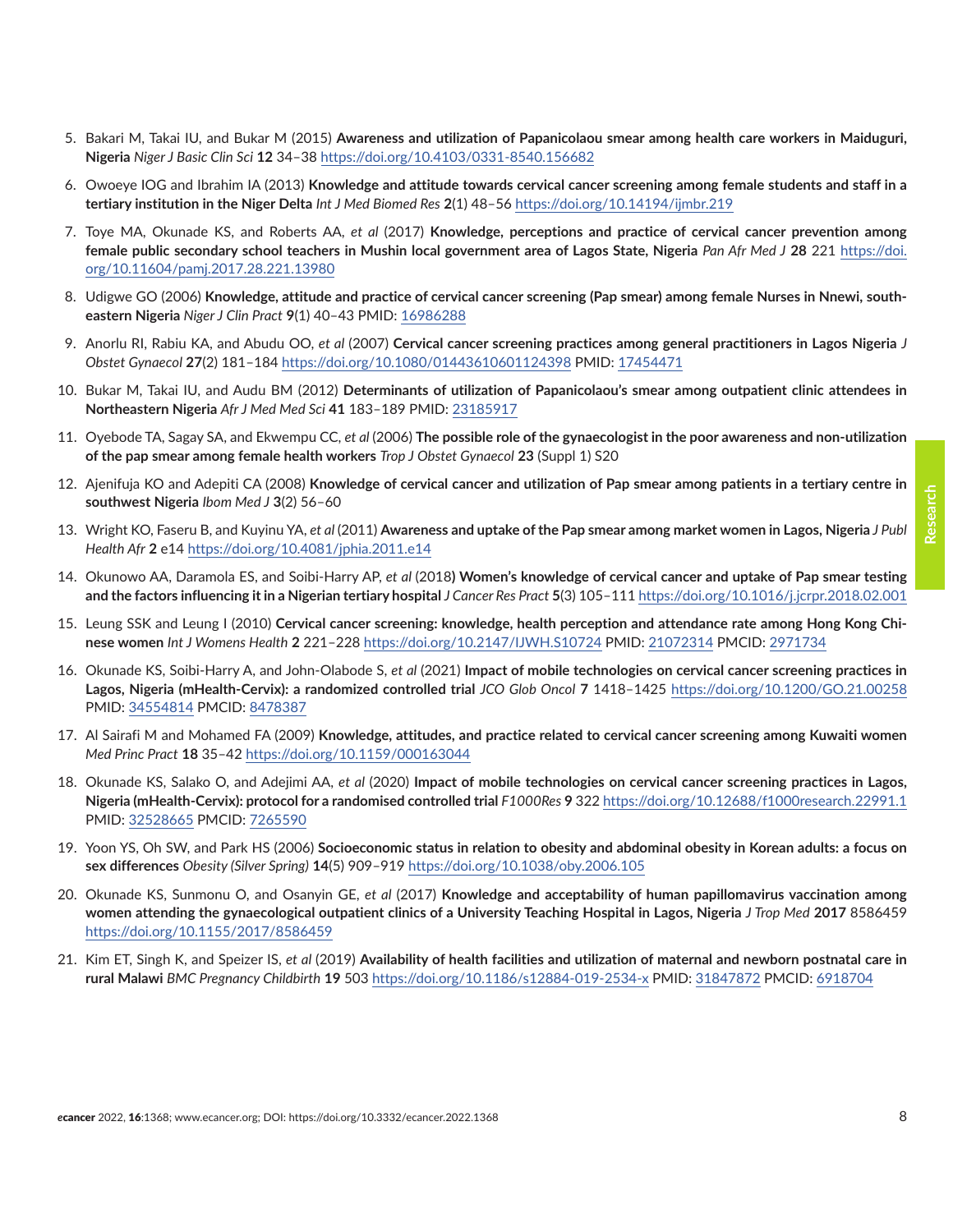- <span id="page-7-0"></span>5. Bakari M, Takai IU, and Bukar M (2015) **Awareness and utilization of Papanicolaou smear among health care workers in Maiduguri, Nigeria** *Niger J Basic Clin Sci* **12** 34–38<https://doi.org/10.4103/0331-8540.156682>
- 6. Owoeye IOG and Ibrahim IA (2013) **Knowledge and attitude towards cervical cancer screening among female students and staff in a tertiary institution in the Niger Delta** *Int J Med Biomed Res* **2**(1) 48–56<https://doi.org/10.14194/ijmbr.219>
- 7. Toye MA, Okunade KS, and Roberts AA, *et al* (2017) **Knowledge, perceptions and practice of cervical cancer prevention among female public secondary school teachers in Mushin local government area of Lagos State, Nigeria** *Pan Afr Med J* **28** 221 [https://doi.](https://doi.org/10.11604/pamj.2017.28.221.13980) [org/10.11604/pamj.2017.28.221.13980](https://doi.org/10.11604/pamj.2017.28.221.13980)
- 8. Udigwe GO (2006) **Knowledge, attitude and practice of cervical cancer screening (Pap smear) among female Nurses in Nnewi, southeastern Nigeria** *Niger J Clin Pract* **9**(1) 40–43 PMID: [16986288](http://www.ncbi.nlm.nih.gov/pubmed/16986288)
- 9. Anorlu RI, Rabiu KA, and Abudu OO, *et al* (2007) **Cervical cancer screening practices among general practitioners in Lagos Nigeria** *J Obstet Gynaecol* **27**(2) 181–184<https://doi.org/10.1080/01443610601124398> PMID: [17454471](http://www.ncbi.nlm.nih.gov/pubmed/17454471)
- 10. Bukar M, Takai IU, and Audu BM (2012) **Determinants of utilization of Papanicolaou's smear among outpatient clinic attendees in Northeastern Nigeria** *Afr J Med Med Sci* **41** 183–189 PMID: [23185917](http://www.ncbi.nlm.nih.gov/pubmed/23185917)
- 11. Oyebode TA, Sagay SA, and Ekwempu CC, *et al* (2006) **The possible role of the gynaecologist in the poor awareness and non-utilization of the pap smear among female health workers** *Trop J Obstet Gynaecol* **23** (Suppl 1) S20
- 12. Ajenifuja KO and Adepiti CA (2008) **Knowledge of cervical cancer and utilization of Pap smear among patients in a tertiary centre in southwest Nigeria** *Ibom Med J* **3**(2) 56–60
- 13. Wright KO, Faseru B, and Kuyinu YA, *et al* (2011) **Awareness and uptake of the Pap smear among market women in Lagos, Nigeria** *J Publ Health Afr* **2** e14 <https://doi.org/10.4081/jphia.2011.e14>
- 14. Okunowo AA, Daramola ES, and Soibi-Harry AP, *et al* (2018**) Women's knowledge of cervical cancer and uptake of Pap smear testing and the factors influencing it in a Nigerian tertiary hospital** *J Cancer Res Pract* **5**(3) 105–111<https://doi.org/10.1016/j.jcrpr.2018.02.001>
- 15. Leung SSK and Leung I (2010) **Cervical cancer screening: knowledge, health perception and attendance rate among Hong Kong Chinese women** *Int J Womens Health* **2** 221–228 <https://doi.org/10.2147/IJWH.S10724>PMID: [21072314](http://www.ncbi.nlm.nih.gov/pubmed/21072314) PMCID: [2971734](http://www.ncbi.nlm.nih.gov/pmc/articles/PMC2971734)
- 16. Okunade KS, Soibi-Harry A, and John-Olabode S, *et al* (2021) **Impact of mobile technologies on cervical cancer screening practices in Lagos, Nigeria (mHealth-Cervix): a randomized controlled trial** *JCO Glob Oncol* **7** 1418–1425 <https://doi.org/10.1200/GO.21.00258> PMID: [34554814](http://www.ncbi.nlm.nih.gov/pubmed/34554814) PMCID: [8478387](http://www.ncbi.nlm.nih.gov/pmc/articles/PMC8478387)
- 17. Al Sairafi M and Mohamed FA (2009) **Knowledge, attitudes, and practice related to cervical cancer screening among Kuwaiti women** *Med Princ Pract* **18** 35–42<https://doi.org/10.1159/000163044>
- 18. Okunade KS, Salako O, and Adejimi AA, *et al* (2020) **Impact of mobile technologies on cervical cancer screening practices in Lagos, Nigeria (mHealth-Cervix): protocol for a randomised controlled trial** *F1000Res* **9** 322 <https://doi.org/10.12688/f1000research.22991.1> PMID: [32528665](http://www.ncbi.nlm.nih.gov/pubmed/32528665) PMCID: [7265590](http://www.ncbi.nlm.nih.gov/pmc/articles/PMC7265590)
- 19. Yoon YS, Oh SW, and Park HS (2006) **Socioeconomic status in relation to obesity and abdominal obesity in Korean adults: a focus on sex differences** *Obesity (Silver Spring)* **14**(5) 909–919 <https://doi.org/10.1038/oby.2006.105>
- 20. Okunade KS, Sunmonu O, and Osanyin GE, *et al* (2017) **Knowledge and acceptability of human papillomavirus vaccination among women attending the gynaecological outpatient clinics of a University Teaching Hospital in Lagos, Nigeria** *J Trop Med* **2017** 8586459 <https://doi.org/10.1155/2017/8586459>
- 21. Kim ET, Singh K, and Speizer IS, *et al* (2019) **Availability of health facilities and utilization of maternal and newborn postnatal care in rural Malawi** *BMC Pregnancy Childbirth* **19** 503<https://doi.org/10.1186/s12884-019-2534-x> PMID: [31847872](http://www.ncbi.nlm.nih.gov/pubmed/31847872) PMCID: [6918704](http://www.ncbi.nlm.nih.gov/pmc/articles/PMC6918704)